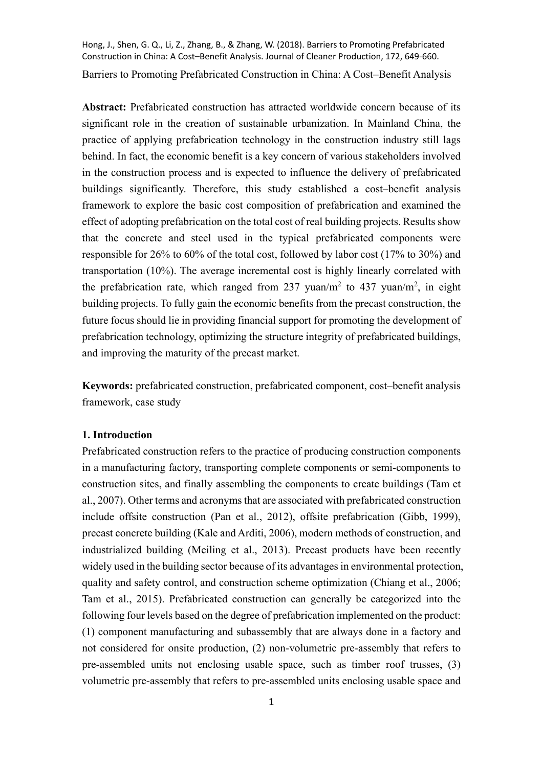Hong, J., Shen, G. Q., Li, Z., Zhang, B., & Zhang, W. (2018). Barriers to Promoting Prefabricated Construction in China: A Cost–Benefit Analysis. Journal of Cleaner Production, 172, 649-660. Barriers to Promoting Prefabricated Construction in China: A Cost–Benefit Analysis

**Abstract:** Prefabricated construction has attracted worldwide concern because of its significant role in the creation of sustainable urbanization. In Mainland China, the practice of applying prefabrication technology in the construction industry still lags behind. In fact, the economic benefit is a key concern of various stakeholders involved in the construction process and is expected to influence the delivery of prefabricated buildings significantly. Therefore, this study established a cost–benefit analysis framework to explore the basic cost composition of prefabrication and examined the effect of adopting prefabrication on the total cost of real building projects. Results show that the concrete and steel used in the typical prefabricated components were responsible for 26% to 60% of the total cost, followed by labor cost (17% to 30%) and transportation (10%). The average incremental cost is highly linearly correlated with the prefabrication rate, which ranged from 237 yuan/ $m<sup>2</sup>$  to 437 yuan/ $m<sup>2</sup>$ , in eight building projects. To fully gain the economic benefits from the precast construction, the future focus should lie in providing financial support for promoting the development of prefabrication technology, optimizing the structure integrity of prefabricated buildings, and improving the maturity of the precast market.

**Keywords:** prefabricated construction, prefabricated component, cost–benefit analysis framework, case study

## **1. Introduction**

Prefabricated construction refers to the practice of producing construction components in a manufacturing factory, transporting complete components or semi-components to construction sites, and finally assembling the components to create buildings (Tam et al., 2007). Other terms and acronyms that are associated with prefabricated construction include offsite construction (Pan et al., 2012), offsite prefabrication (Gibb, 1999), precast concrete building (Kale and Arditi, 2006), modern methods of construction, and industrialized building (Meiling et al., 2013). Precast products have been recently widely used in the building sector because of its advantages in environmental protection, quality and safety control, and construction scheme optimization (Chiang et al., 2006; Tam et al., 2015). Prefabricated construction can generally be categorized into the following four levels based on the degree of prefabrication implemented on the product: (1) component manufacturing and subassembly that are always done in a factory and not considered for onsite production, (2) non-volumetric pre-assembly that refers to pre-assembled units not enclosing usable space, such as timber roof trusses, (3) volumetric pre-assembly that refers to pre-assembled units enclosing usable space and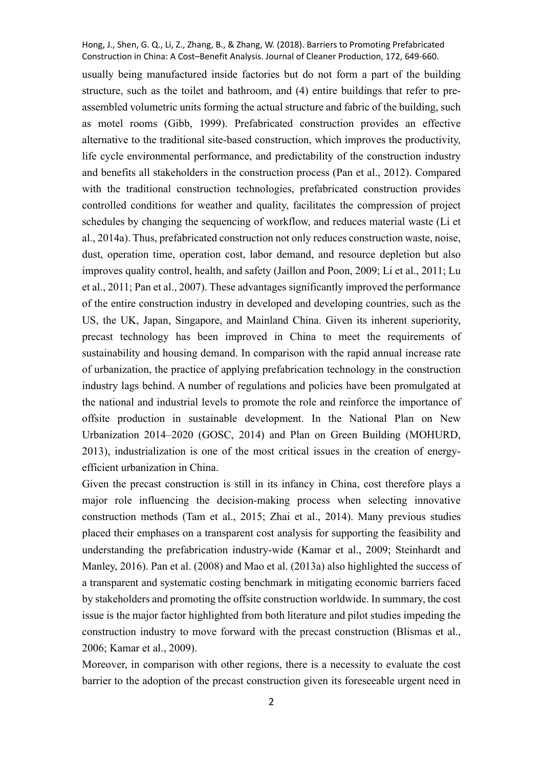usually being manufactured inside factories but do not form a part of the building structure, such as the toilet and bathroom, and (4) entire buildings that refer to preassembled volumetric units forming the actual structure and fabric of the building, such as motel rooms (Gibb, 1999). Prefabricated construction provides an effective alternative to the traditional site-based construction, which improves the productivity, life cycle environmental performance, and predictability of the construction industry and benefits all stakeholders in the construction process (Pan et al., 2012). Compared with the traditional construction technologies, prefabricated construction provides controlled conditions for weather and quality, facilitates the compression of project schedules by changing the sequencing of workflow, and reduces material waste (Li et al., 2014a). Thus, prefabricated construction not only reduces construction waste, noise, dust, operation time, operation cost, labor demand, and resource depletion but also improves quality control, health, and safety (Jaillon and Poon, 2009; Li et al., 2011; Lu et al., 2011; Pan et al., 2007). These advantages significantly improved the performance of the entire construction industry in developed and developing countries, such as the US, the UK, Japan, Singapore, and Mainland China. Given its inherent superiority, precast technology has been improved in China to meet the requirements of sustainability and housing demand. In comparison with the rapid annual increase rate of urbanization, the practice of applying prefabrication technology in the construction industry lags behind. A number of regulations and policies have been promulgated at the national and industrial levels to promote the role and reinforce the importance of offsite production in sustainable development. In the National Plan on New Urbanization 2014–2020 (GOSC, 2014) and Plan on Green Building (MOHURD, 2013), industrialization is one of the most critical issues in the creation of energyefficient urbanization in China.

Given the precast construction is still in its infancy in China, cost therefore plays a major role influencing the decision-making process when selecting innovative construction methods (Tam et al., 2015; Zhai et al., 2014). Many previous studies placed their emphases on a transparent cost analysis for supporting the feasibility and understanding the prefabrication industry-wide (Kamar et al., 2009; Steinhardt and Manley, 2016). Pan et al. (2008) and Mao et al. (2013a) also highlighted the success of a transparent and systematic costing benchmark in mitigating economic barriers faced by stakeholders and promoting the offsite construction worldwide. In summary, the cost issue is the major factor highlighted from both literature and pilot studies impeding the construction industry to move forward with the precast construction (Blismas et al., 2006; Kamar et al., 2009).

Moreover, in comparison with other regions, there is a necessity to evaluate the cost barrier to the adoption of the precast construction given its foreseeable urgent need in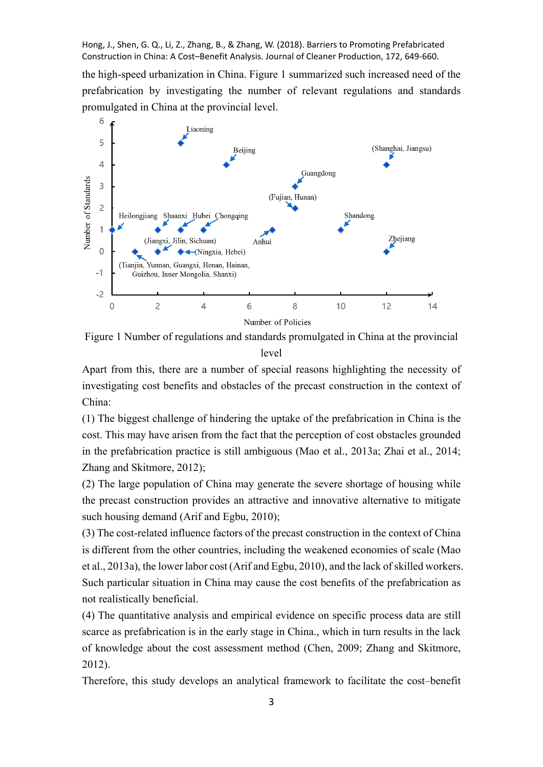the high-speed urbanization in China. Figure 1 summarized such increased need of the prefabrication by investigating the number of relevant regulations and standards promulgated in China at the provincial level.



Figure 1 Number of regulations and standards promulgated in China at the provincial level

Apart from this, there are a number of special reasons highlighting the necessity of investigating cost benefits and obstacles of the precast construction in the context of China:

(1) The biggest challenge of hindering the uptake of the prefabrication in China is the cost. This may have arisen from the fact that the perception of cost obstacles grounded in the prefabrication practice is still ambiguous (Mao et al., 2013a; Zhai et al., 2014; Zhang and Skitmore, 2012);

(2) The large population of China may generate the severe shortage of housing while the precast construction provides an attractive and innovative alternative to mitigate such housing demand (Arif and Egbu, 2010);

(3) The cost-related influence factors of the precast construction in the context of China is different from the other countries, including the weakened economies of scale (Mao et al., 2013a), the lower labor cost (Arif and Egbu, 2010), and the lack of skilled workers. Such particular situation in China may cause the cost benefits of the prefabrication as not realistically beneficial.

(4) The quantitative analysis and empirical evidence on specific process data are still scarce as prefabrication is in the early stage in China., which in turn results in the lack of knowledge about the cost assessment method (Chen, 2009; Zhang and Skitmore, 2012).

Therefore, this study develops an analytical framework to facilitate the cost–benefit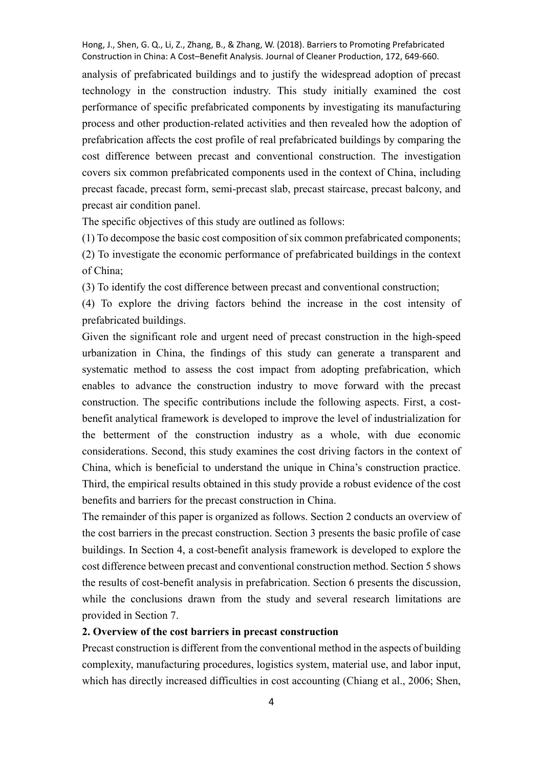analysis of prefabricated buildings and to justify the widespread adoption of precast technology in the construction industry. This study initially examined the cost performance of specific prefabricated components by investigating its manufacturing process and other production-related activities and then revealed how the adoption of prefabrication affects the cost profile of real prefabricated buildings by comparing the cost difference between precast and conventional construction. The investigation covers six common prefabricated components used in the context of China, including precast facade, precast form, semi-precast slab, precast staircase, precast balcony, and precast air condition panel.

The specific objectives of this study are outlined as follows:

(1) To decompose the basic cost composition of six common prefabricated components;

(2) To investigate the economic performance of prefabricated buildings in the context of China;

(3) To identify the cost difference between precast and conventional construction;

(4) To explore the driving factors behind the increase in the cost intensity of prefabricated buildings.

Given the significant role and urgent need of precast construction in the high-speed urbanization in China, the findings of this study can generate a transparent and systematic method to assess the cost impact from adopting prefabrication, which enables to advance the construction industry to move forward with the precast construction. The specific contributions include the following aspects. First, a costbenefit analytical framework is developed to improve the level of industrialization for the betterment of the construction industry as a whole, with due economic considerations. Second, this study examines the cost driving factors in the context of China, which is beneficial to understand the unique in China's construction practice. Third, the empirical results obtained in this study provide a robust evidence of the cost benefits and barriers for the precast construction in China.

The remainder of this paper is organized as follows. Section 2 conducts an overview of the cost barriers in the precast construction. Section 3 presents the basic profile of case buildings. In Section 4, a cost-benefit analysis framework is developed to explore the cost difference between precast and conventional construction method. Section 5 shows the results of cost-benefit analysis in prefabrication. Section 6 presents the discussion, while the conclusions drawn from the study and several research limitations are provided in Section 7.

#### **2. Overview of the cost barriers in precast construction**

Precast construction is different from the conventional method in the aspects of building complexity, manufacturing procedures, logistics system, material use, and labor input, which has directly increased difficulties in cost accounting (Chiang et al., 2006; Shen,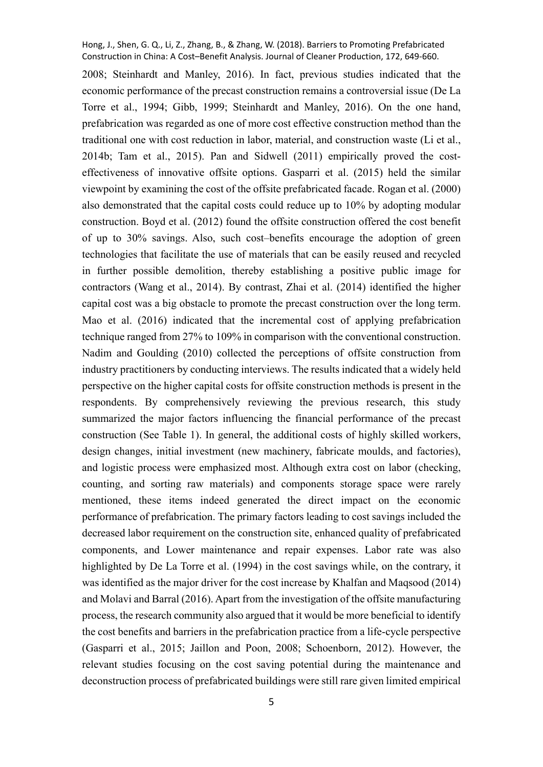2008; Steinhardt and Manley, 2016). In fact, previous studies indicated that the economic performance of the precast construction remains a controversial issue (De La Torre et al., 1994; Gibb, 1999; Steinhardt and Manley, 2016). On the one hand, prefabrication was regarded as one of more cost effective construction method than the traditional one with cost reduction in labor, material, and construction waste (Li et al., 2014b; Tam et al., 2015). Pan and Sidwell (2011) empirically proved the costeffectiveness of innovative offsite options. Gasparri et al. (2015) held the similar viewpoint by examining the cost of the offsite prefabricated facade. Rogan et al. (2000) also demonstrated that the capital costs could reduce up to 10% by adopting modular construction. Boyd et al. (2012) found the offsite construction offered the cost benefit of up to 30% savings. Also, such cost–benefits encourage the adoption of green technologies that facilitate the use of materials that can be easily reused and recycled in further possible demolition, thereby establishing a positive public image for contractors (Wang et al., 2014). By contrast, Zhai et al. (2014) identified the higher capital cost was a big obstacle to promote the precast construction over the long term. Mao et al. (2016) indicated that the incremental cost of applying prefabrication technique ranged from 27% to 109% in comparison with the conventional construction. Nadim and Goulding (2010) collected the perceptions of offsite construction from industry practitioners by conducting interviews. The results indicated that a widely held perspective on the higher capital costs for offsite construction methods is present in the respondents. By comprehensively reviewing the previous research, this study summarized the major factors influencing the financial performance of the precast construction (See Table 1). In general, the additional costs of highly skilled workers, design changes, initial investment (new machinery, fabricate moulds, and factories), and logistic process were emphasized most. Although extra cost on labor (checking, counting, and sorting raw materials) and components storage space were rarely mentioned, these items indeed generated the direct impact on the economic performance of prefabrication. The primary factors leading to cost savings included the decreased labor requirement on the construction site, enhanced quality of prefabricated components, and Lower maintenance and repair expenses. Labor rate was also highlighted by De La Torre et al. (1994) in the cost savings while, on the contrary, it was identified as the major driver for the cost increase by Khalfan and Maqsood (2014) and Molavi and Barral (2016). Apart from the investigation of the offsite manufacturing process, the research community also argued that it would be more beneficial to identify the cost benefits and barriers in the prefabrication practice from a life-cycle perspective (Gasparri et al., 2015; Jaillon and Poon, 2008; Schoenborn, 2012). However, the relevant studies focusing on the cost saving potential during the maintenance and deconstruction process of prefabricated buildings were still rare given limited empirical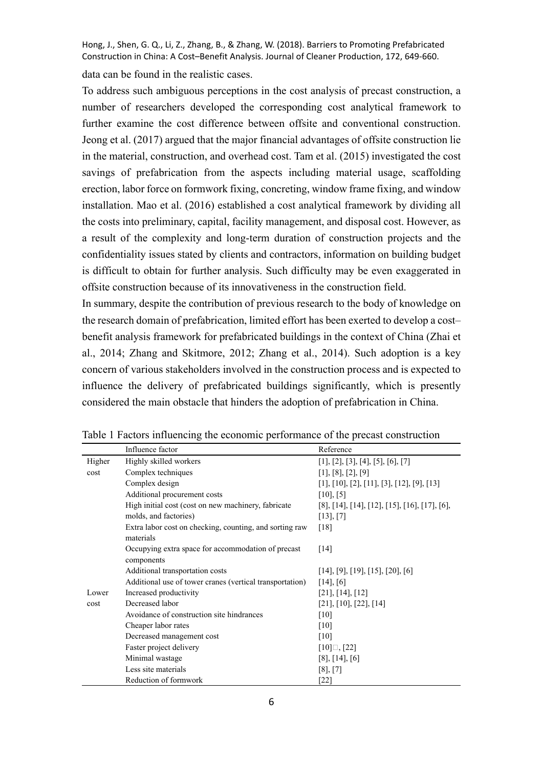To address such ambiguous perceptions in the cost analysis of precast construction, a number of researchers developed the corresponding cost analytical framework to further examine the cost difference between offsite and conventional construction. Jeong et al. (2017) argued that the major financial advantages of offsite construction lie in the material, construction, and overhead cost. Tam et al. (2015) investigated the cost savings of prefabrication from the aspects including material usage, scaffolding erection, labor force on formwork fixing, concreting, window frame fixing, and window installation. Mao et al. (2016) established a cost analytical framework by dividing all the costs into preliminary, capital, facility management, and disposal cost. However, as a result of the complexity and long-term duration of construction projects and the confidentiality issues stated by clients and contractors, information on building budget is difficult to obtain for further analysis. Such difficulty may be even exaggerated in offsite construction because of its innovativeness in the construction field.

In summary, despite the contribution of previous research to the body of knowledge on the research domain of prefabrication, limited effort has been exerted to develop a cost– benefit analysis framework for prefabricated buildings in the context of China (Zhai et al., 2014; Zhang and Skitmore, 2012; Zhang et al., 2014). Such adoption is a key concern of various stakeholders involved in the construction process and is expected to influence the delivery of prefabricated buildings significantly, which is presently considered the main obstacle that hinders the adoption of prefabrication in China.

|        | Influence factor                                         | Reference                                        |
|--------|----------------------------------------------------------|--------------------------------------------------|
| Higher | Highly skilled workers                                   | [1], [2], [3], [4], [5], [6], [7]                |
| cost   | Complex techniques                                       | [1], [8], [2], [9]                               |
|        | Complex design                                           | $[1], [10], [2], [11], [3], [12], [9], [13]$     |
|        | Additional procurement costs                             | $[10]$ , [5]                                     |
|        | High initial cost (cost on new machinery, fabricate      | $[8]$ , [14], [14], [12], [15], [16], [17], [6], |
|        | molds, and factories)                                    | [13], [7]                                        |
|        | Extra labor cost on checking, counting, and sorting raw  | [18]                                             |
|        | materials                                                |                                                  |
|        | Occupying extra space for accommodation of precast       | $\lceil 14 \rceil$                               |
|        | components                                               |                                                  |
|        | Additional transportation costs                          | [14], [9], [19], [15], [20], [6]                 |
|        | Additional use of tower cranes (vertical transportation) | [14], [6]                                        |
| Lower  | Increased productivity                                   | [21], [14], [12]                                 |
| cost   | Decreased labor                                          | $[21]$ , $[10]$ , $[22]$ , $[14]$                |
|        | Avoidance of construction site hindrances                | $\lceil 10 \rceil$                               |
|        | Cheaper labor rates                                      | $\lceil 10 \rceil$                               |
|        | Decreased management cost                                | $[10]$                                           |
|        | Faster project delivery                                  | $[10] \square$ , $[22]$                          |
|        | Minimal wastage                                          | $[8]$ , $[14]$ , $[6]$                           |
|        | Less site materials                                      | [8], [7]                                         |
|        | Reduction of formwork                                    | $[22]$                                           |

Table 1 Factors influencing the economic performance of the precast construction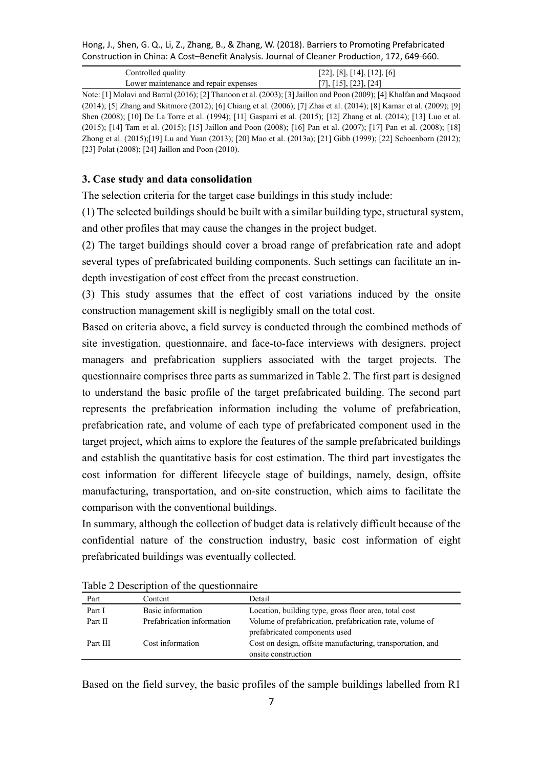| Controlled quality                    | $[22]$ , [8], [14], [12], [6]    |  |
|---------------------------------------|----------------------------------|--|
| Lower maintenance and repair expenses | $[7]$ , $[15]$ , $[23]$ , $[24]$ |  |

Note: [1] Molavi and Barral (2016); [2] Thanoon et al. (2003); [3] Jaillon and Poon (2009); [4] Khalfan and Maqsood (2014); [5] Zhang and Skitmore (2012); [6] Chiang et al. (2006); [7] Zhai et al. (2014); [8] Kamar et al. (2009); [9] Shen (2008); [10] De La Torre et al. (1994); [11] Gasparri et al. (2015); [12] Zhang et al. (2014); [13] Luo et al. (2015); [14] Tam et al. (2015); [15] Jaillon and Poon (2008); [16] Pan et al. (2007); [17] Pan et al. (2008); [18] Zhong et al. (2015);[19] Lu and Yuan (2013); [20] Mao et al. (2013a); [21] Gibb (1999); [22] Schoenborn (2012); [23] Polat (2008); [24] Jaillon and Poon (2010).

### **3. Case study and data consolidation**

The selection criteria for the target case buildings in this study include:

(1) The selected buildings should be built with a similar building type, structural system, and other profiles that may cause the changes in the project budget.

(2) The target buildings should cover a broad range of prefabrication rate and adopt several types of prefabricated building components. Such settings can facilitate an indepth investigation of cost effect from the precast construction.

(3) This study assumes that the effect of cost variations induced by the onsite construction management skill is negligibly small on the total cost.

Based on criteria above, a field survey is conducted through the combined methods of site investigation, questionnaire, and face-to-face interviews with designers, project managers and prefabrication suppliers associated with the target projects. The questionnaire comprises three parts as summarized in Table 2. The first part is designed to understand the basic profile of the target prefabricated building. The second part represents the prefabrication information including the volume of prefabrication, prefabrication rate, and volume of each type of prefabricated component used in the target project, which aims to explore the features of the sample prefabricated buildings and establish the quantitative basis for cost estimation. The third part investigates the cost information for different lifecycle stage of buildings, namely, design, offsite manufacturing, transportation, and on-site construction, which aims to facilitate the comparison with the conventional buildings.

In summary, although the collection of budget data is relatively difficult because of the confidential nature of the construction industry, basic cost information of eight prefabricated buildings was eventually collected.

| Part     | Content                    | Detail                                                                                    |
|----------|----------------------------|-------------------------------------------------------------------------------------------|
| Part I   | Basic information          | Location, building type, gross floor area, total cost                                     |
| Part II  | Prefabrication information | Volume of prefabrication, prefabrication rate, volume of<br>prefabricated components used |
| Part III | Cost information           | Cost on design, offsite manufacturing, transportation, and<br>onsite construction         |

Table 2 Description of the questionnaire

Based on the field survey, the basic profiles of the sample buildings labelled from R1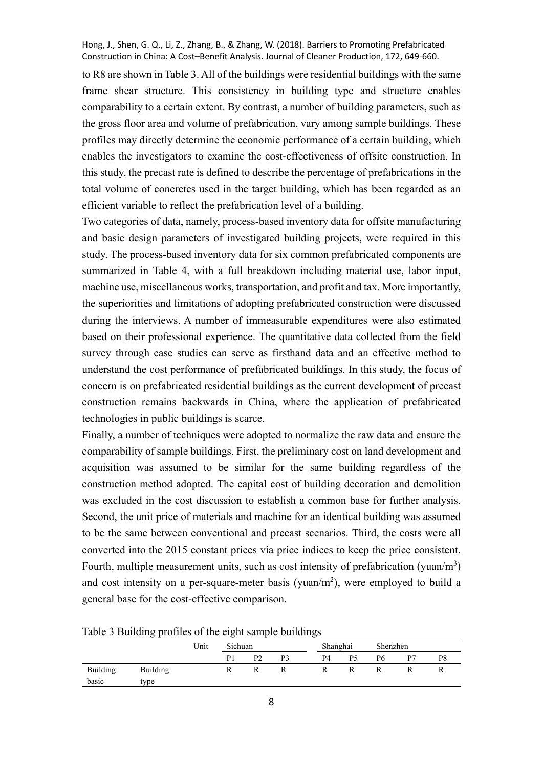to R8 are shown in Table 3. All of the buildings were residential buildings with the same frame shear structure. This consistency in building type and structure enables comparability to a certain extent. By contrast, a number of building parameters, such as the gross floor area and volume of prefabrication, vary among sample buildings. These profiles may directly determine the economic performance of a certain building, which enables the investigators to examine the cost-effectiveness of offsite construction. In this study, the precast rate is defined to describe the percentage of prefabrications in the total volume of concretes used in the target building, which has been regarded as an efficient variable to reflect the prefabrication level of a building.

Two categories of data, namely, process-based inventory data for offsite manufacturing and basic design parameters of investigated building projects, were required in this study. The process-based inventory data for six common prefabricated components are summarized in Table 4, with a full breakdown including material use, labor input, machine use, miscellaneous works, transportation, and profit and tax. More importantly, the superiorities and limitations of adopting prefabricated construction were discussed during the interviews. A number of immeasurable expenditures were also estimated based on their professional experience. The quantitative data collected from the field survey through case studies can serve as firsthand data and an effective method to understand the cost performance of prefabricated buildings. In this study, the focus of concern is on prefabricated residential buildings as the current development of precast construction remains backwards in China, where the application of prefabricated technologies in public buildings is scarce.

Finally, a number of techniques were adopted to normalize the raw data and ensure the comparability of sample buildings. First, the preliminary cost on land development and acquisition was assumed to be similar for the same building regardless of the construction method adopted. The capital cost of building decoration and demolition was excluded in the cost discussion to establish a common base for further analysis. Second, the unit price of materials and machine for an identical building was assumed to be the same between conventional and precast scenarios. Third, the costs were all converted into the 2015 constant prices via price indices to keep the price consistent. Fourth, multiple measurement units, such as cost intensity of prefabrication (yuan/m<sup>3</sup>) and cost intensity on a per-square-meter basis (yuan/ $m<sup>2</sup>$ ), were employed to build a general base for the cost-effective comparison.

Unit Sichuan Shanghai Shenzhen P1 P2 P3 P4 P5 P6 P7 P8 Building basic Building type R R R R R R R R

Table 3 Building profiles of the eight sample buildings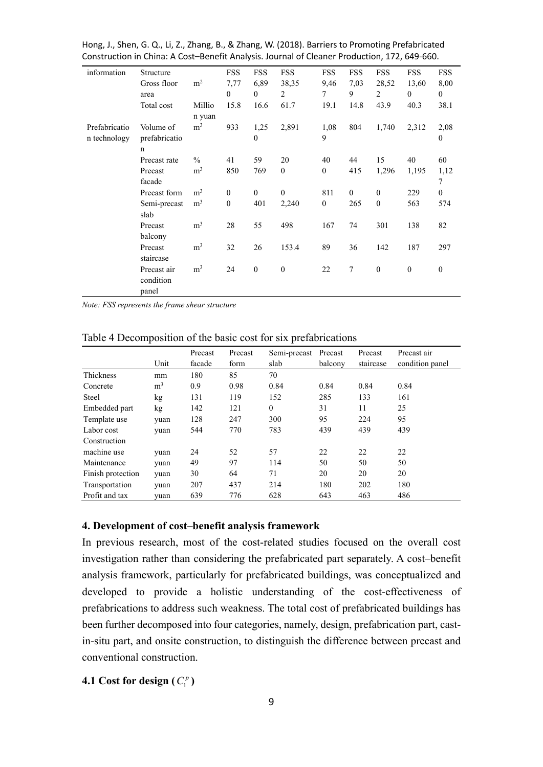| information   | Structure     |                | <b>FSS</b>   | FSS              | <b>FSS</b>       | FSS              | <b>FSS</b>   | FSS          | <b>FSS</b> | <b>FSS</b>   |
|---------------|---------------|----------------|--------------|------------------|------------------|------------------|--------------|--------------|------------|--------------|
|               | Gross floor   | m <sup>2</sup> | 7,77         | 6,89             | 38,35            | 9,46             | 7,03         | 28,52        | 13,60      | 8,00         |
|               | area          |                | $\mathbf{0}$ | $\mathbf{0}$     | 2                | 7                | 9            | 2            | $\theta$   | $\theta$     |
|               | Total cost    | Millio         | 15.8         | 16.6             | 61.7             | 19.1             | 14.8         | 43.9         | 40.3       | 38.1         |
|               |               | n yuan         |              |                  |                  |                  |              |              |            |              |
| Prefabricatio | Volume of     | m <sup>3</sup> | 933          | 1,25             | 2,891            | 1,08             | 804          | 1,740        | 2,312      | 2,08         |
| n technology  | prefabricatio |                |              | $\boldsymbol{0}$ |                  | 9                |              |              |            | $\mathbf{0}$ |
|               | $\mathbf n$   |                |              |                  |                  |                  |              |              |            |              |
|               | Precast rate  | $\frac{0}{0}$  | 41           | 59               | 20               | 40               | 44           | 15           | 40         | 60           |
|               | Precast       | m <sup>3</sup> | 850          | 769              | $\theta$         | $\boldsymbol{0}$ | 415          | 1,296        | 1,195      | 1,12         |
|               | facade        |                |              |                  |                  |                  |              |              |            | 7            |
|               | Precast form  | m <sup>3</sup> | $\mathbf{0}$ | $\boldsymbol{0}$ | $\mathbf{0}$     | 811              | $\mathbf{0}$ | $\mathbf{0}$ | 229        | $\mathbf{0}$ |
|               | Semi-precast  | m <sup>3</sup> | $\mathbf{0}$ | 401              | 2,240            | $\boldsymbol{0}$ | 265          | $\theta$     | 563        | 574          |
|               | slab          |                |              |                  |                  |                  |              |              |            |              |
|               | Precast       | m <sup>3</sup> | 28           | 55               | 498              | 167              | 74           | 301          | 138        | 82           |
|               | balcony       |                |              |                  |                  |                  |              |              |            |              |
|               | Precast       | m <sup>3</sup> | 32           | 26               | 153.4            | 89               | 36           | 142          | 187        | 297          |
|               | staircase     |                |              |                  |                  |                  |              |              |            |              |
|               | Precast air   | m <sup>3</sup> | 24           | $\boldsymbol{0}$ | $\boldsymbol{0}$ | 22               | 7            | $\mathbf{0}$ | $\theta$   | $\mathbf{0}$ |
|               | condition     |                |              |                  |                  |                  |              |              |            |              |
|               | panel         |                |              |                  |                  |                  |              |              |            |              |

Hong, J., Shen, G. Q., Li, Z., Zhang, B., & Zhang, W. (2018). Barriers to Promoting Prefabricated Construction in China: A Cost–Benefit Analysis. Journal of Cleaner Production, 172, 649-660.

*Note: FSS represents the frame shear structure*

Table 4 Decomposition of the basic cost for six prefabrications

|                   |                | Precast | Precast | Semi-precast     | Precast | Precast   | Precast air     |
|-------------------|----------------|---------|---------|------------------|---------|-----------|-----------------|
|                   | Unit           | facade  | form    | slab             | balcony | staircase | condition panel |
| Thickness         | mm             | 180     | 85      | 70               |         |           |                 |
| Concrete          | m <sup>3</sup> | 0.9     | 0.98    | 0.84             | 0.84    | 0.84      | 0.84            |
| Steel             | kg             | 131     | 119     | 152              | 285     | 133       | 161             |
| Embedded part     | kg             | 142     | 121     | $\boldsymbol{0}$ | 31      | 11        | 25              |
| Template use      | yuan           | 128     | 247     | 300              | 95      | 224       | 95              |
| Labor cost        | yuan           | 544     | 770     | 783              | 439     | 439       | 439             |
| Construction      |                |         |         |                  |         |           |                 |
| machine use       | yuan           | 24      | 52      | 57               | 22      | 22        | 22              |
| Maintenance       | yuan           | 49      | 97      | 114              | 50      | 50        | 50              |
| Finish protection | yuan           | 30      | 64      | 71               | 20      | 20        | 20              |
| Transportation    | yuan           | 207     | 437     | 214              | 180     | 202       | 180             |
| Profit and tax    | yuan           | 639     | 776     | 628              | 643     | 463       | 486             |

#### **4. Development of cost–benefit analysis framework**

In previous research, most of the cost-related studies focused on the overall cost investigation rather than considering the prefabricated part separately. A cost–benefit analysis framework, particularly for prefabricated buildings, was conceptualized and developed to provide a holistic understanding of the cost-effectiveness of prefabrications to address such weakness. The total cost of prefabricated buildings has been further decomposed into four categories, namely, design, prefabrication part, castin-situ part, and onsite construction, to distinguish the difference between precast and conventional construction.

# **4.1 Cost for design**  $(C_1^p)$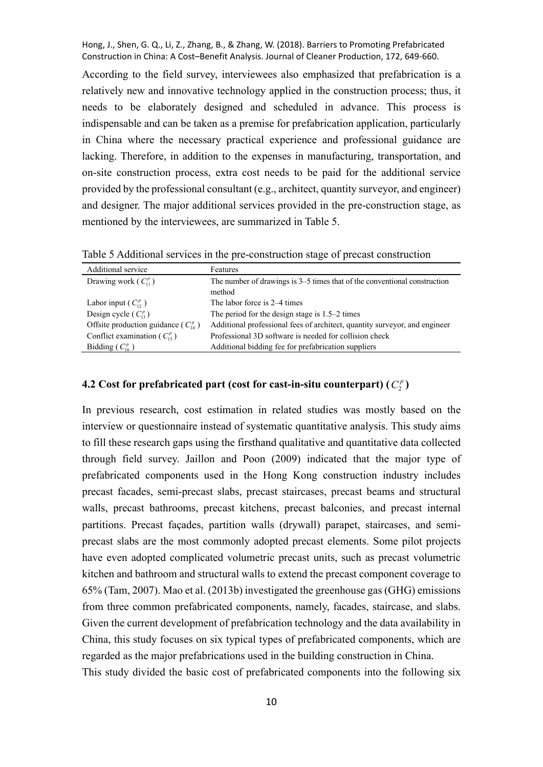According to the field survey, interviewees also emphasized that prefabrication is a relatively new and innovative technology applied in the construction process; thus, it needs to be elaborately designed and scheduled in advance. This process is indispensable and can be taken as a premise for prefabrication application, particularly in China where the necessary practical experience and professional guidance are lacking. Therefore, in addition to the expenses in manufacturing, transportation, and on-site construction process, extra cost needs to be paid for the additional service provided by the professional consultant (e.g., architect, quantity surveyor, and engineer) and designer. The major additional services provided in the pre-construction stage, as mentioned by the interviewees, are summarized in Table 5.

Table 5 Additional services in the pre-construction stage of precast construction

| Additional service                         | <b>Features</b>                                                             |
|--------------------------------------------|-----------------------------------------------------------------------------|
| Drawing work $(C_1^p)$                     | The number of drawings is $3-5$ times that of the conventional construction |
|                                            | method                                                                      |
| Labor input $(C_1^p)$                      | The labor force is 2–4 times                                                |
| Design cycle $(C_1^p)$                     | The period for the design stage is $1.5-2$ times                            |
| Offsite production guidance ( $C_{14}^p$ ) | Additional professional fees of architect, quantity surveyor, and engineer  |
| Conflict examination ( $C_1^p$ )           | Professional 3D software is needed for collision check                      |
| Bidding $(C_{16}^p)$                       | Additional bidding fee for prefabrication suppliers                         |

# **4.2** Cost for prefabricated part (cost for cast-in-situ counterpart) (  $C_2^p$  )

In previous research, cost estimation in related studies was mostly based on the interview or questionnaire instead of systematic quantitative analysis. This study aims to fill these research gaps using the firsthand qualitative and quantitative data collected through field survey. Jaillon and Poon (2009) indicated that the major type of prefabricated components used in the Hong Kong construction industry includes precast facades, semi-precast slabs, precast staircases, precast beams and structural walls, precast bathrooms, precast kitchens, precast balconies, and precast internal partitions. Precast façades, partition walls (drywall) parapet, staircases, and semiprecast slabs are the most commonly adopted precast elements. Some pilot projects have even adopted complicated volumetric precast units, such as precast volumetric kitchen and bathroom and structural walls to extend the precast component coverage to 65% (Tam, 2007). Mao et al. (2013b) investigated the greenhouse gas (GHG) emissions from three common prefabricated components, namely, facades, staircase, and slabs. Given the current development of prefabrication technology and the data availability in China, this study focuses on six typical types of prefabricated components, which are regarded as the major prefabrications used in the building construction in China. This study divided the basic cost of prefabricated components into the following six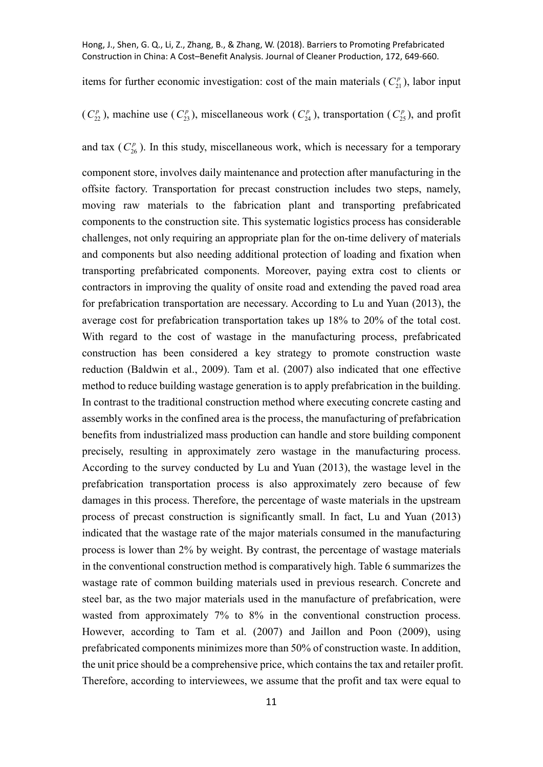items for further economic investigation: cost of the main materials  $(C_2^p)$ , labor input

 $(C_{22}^p)$ , machine use  $(C_{23}^p)$ , miscellaneous work  $(C_{24}^p)$ , transportation  $(C_{25}^p)$ , and profit

and tax  $(C_{26}^p)$ . In this study, miscellaneous work, which is necessary for a temporary

component store, involves daily maintenance and protection after manufacturing in the offsite factory. Transportation for precast construction includes two steps, namely, moving raw materials to the fabrication plant and transporting prefabricated components to the construction site. This systematic logistics process has considerable challenges, not only requiring an appropriate plan for the on-time delivery of materials and components but also needing additional protection of loading and fixation when transporting prefabricated components. Moreover, paying extra cost to clients or contractors in improving the quality of onsite road and extending the paved road area for prefabrication transportation are necessary. According to Lu and Yuan (2013), the average cost for prefabrication transportation takes up 18% to 20% of the total cost. With regard to the cost of wastage in the manufacturing process, prefabricated construction has been considered a key strategy to promote construction waste reduction (Baldwin et al., 2009). Tam et al. (2007) also indicated that one effective method to reduce building wastage generation is to apply prefabrication in the building. In contrast to the traditional construction method where executing concrete casting and assembly works in the confined area is the process, the manufacturing of prefabrication benefits from industrialized mass production can handle and store building component precisely, resulting in approximately zero wastage in the manufacturing process. According to the survey conducted by Lu and Yuan (2013), the wastage level in the prefabrication transportation process is also approximately zero because of few damages in this process. Therefore, the percentage of waste materials in the upstream process of precast construction is significantly small. In fact, Lu and Yuan (2013) indicated that the wastage rate of the major materials consumed in the manufacturing process is lower than 2% by weight. By contrast, the percentage of wastage materials in the conventional construction method is comparatively high. Table 6 summarizes the wastage rate of common building materials used in previous research. Concrete and steel bar, as the two major materials used in the manufacture of prefabrication, were wasted from approximately 7% to 8% in the conventional construction process. However, according to Tam et al. (2007) and Jaillon and Poon (2009), using prefabricated components minimizes more than 50% of construction waste. In addition, the unit price should be a comprehensive price, which contains the tax and retailer profit. Therefore, according to interviewees, we assume that the profit and tax were equal to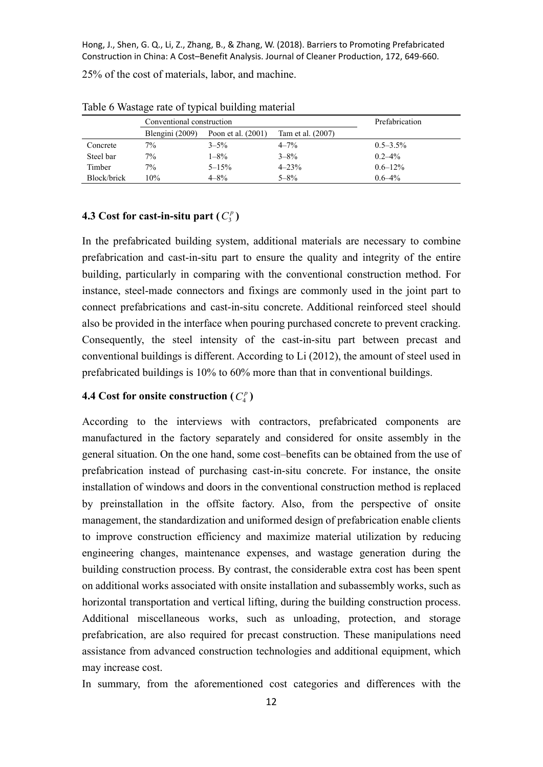25% of the cost of materials, labor, and machine.

|             | Conventional construction | Prefabrication     |                   |               |
|-------------|---------------------------|--------------------|-------------------|---------------|
|             | Blengini (2009)           | Poon et al. (2001) | Tam et al. (2007) |               |
| Concrete    | $7\%$                     | $3 - 5\%$          | $4 - 7\%$         | $0.5 - 3.5\%$ |
| Steel bar   | 7%                        | $1 - 8\%$          | $3 - 8\%$         | $0.2 - 4\%$   |
| Timber      | 7%                        | $5 - 15%$          | $4 - 23%$         | $0.6 - 12\%$  |
| Block/brick | 10%                       | $4 - 8\%$          | $5 - 8\%$         | $0.6 - 4\%$   |

Table 6 Wastage rate of typical building material

# **4.3** Cost for cast-in-situ part  $(C_3^p)$

In the prefabricated building system, additional materials are necessary to combine prefabrication and cast-in-situ part to ensure the quality and integrity of the entire building, particularly in comparing with the conventional construction method. For instance, steel-made connectors and fixings are commonly used in the joint part to connect prefabrications and cast-in-situ concrete. Additional reinforced steel should also be provided in the interface when pouring purchased concrete to prevent cracking. Consequently, the steel intensity of the cast-in-situ part between precast and conventional buildings is different. According to Li (2012), the amount of steel used in prefabricated buildings is 10% to 60% more than that in conventional buildings.

# **4.4** Cost for onsite construction  $(C_4^p)$

According to the interviews with contractors, prefabricated components are manufactured in the factory separately and considered for onsite assembly in the general situation. On the one hand, some cost–benefits can be obtained from the use of prefabrication instead of purchasing cast-in-situ concrete. For instance, the onsite installation of windows and doors in the conventional construction method is replaced by preinstallation in the offsite factory. Also, from the perspective of onsite management, the standardization and uniformed design of prefabrication enable clients to improve construction efficiency and maximize material utilization by reducing engineering changes, maintenance expenses, and wastage generation during the building construction process. By contrast, the considerable extra cost has been spent on additional works associated with onsite installation and subassembly works, such as horizontal transportation and vertical lifting, during the building construction process. Additional miscellaneous works, such as unloading, protection, and storage prefabrication, are also required for precast construction. These manipulations need assistance from advanced construction technologies and additional equipment, which may increase cost.

In summary, from the aforementioned cost categories and differences with the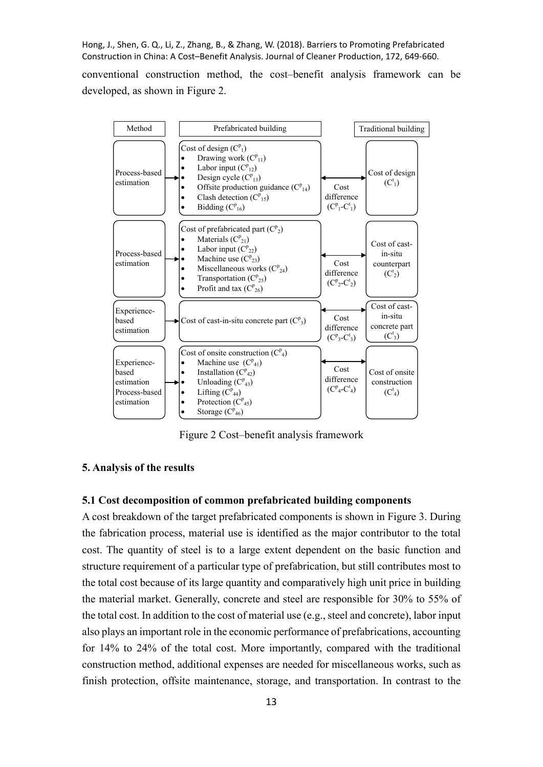conventional construction method, the cost–benefit analysis framework can be developed, as shown in Figure 2.



Figure 2 Cost–benefit analysis framework

### **5. Analysis of the results**

## **5.1 Cost decomposition of common prefabricated building components**

A cost breakdown of the target prefabricated components is shown in Figure 3. During the fabrication process, material use is identified as the major contributor to the total cost. The quantity of steel is to a large extent dependent on the basic function and structure requirement of a particular type of prefabrication, but still contributes most to the total cost because of its large quantity and comparatively high unit price in building the material market. Generally, concrete and steel are responsible for 30% to 55% of the total cost. In addition to the cost of material use (e.g., steel and concrete), labor input also plays an important role in the economic performance of prefabrications, accounting for 14% to 24% of the total cost. More importantly, compared with the traditional construction method, additional expenses are needed for miscellaneous works, such as finish protection, offsite maintenance, storage, and transportation. In contrast to the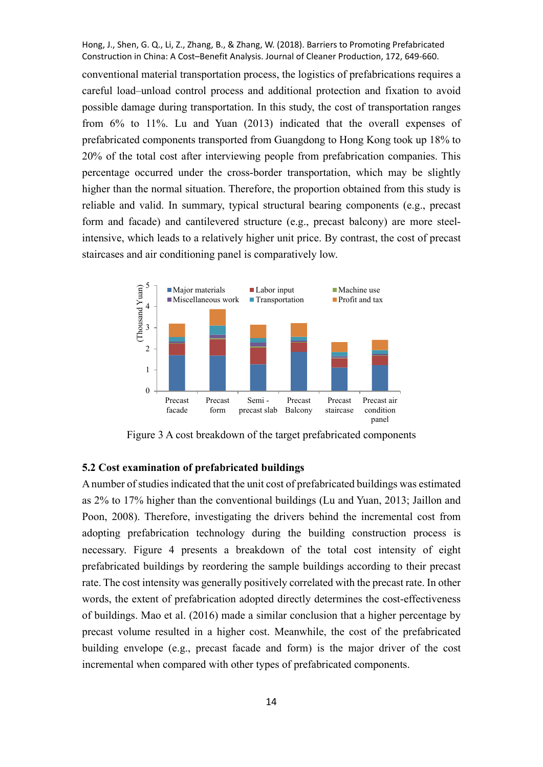conventional material transportation process, the logistics of prefabrications requires a careful load–unload control process and additional protection and fixation to avoid possible damage during transportation. In this study, the cost of transportation ranges from 6% to 11%. Lu and Yuan (2013) indicated that the overall expenses of prefabricated components transported from Guangdong to Hong Kong took up 18% to 20% of the total cost after interviewing people from prefabrication companies. This percentage occurred under the cross-border transportation, which may be slightly higher than the normal situation. Therefore, the proportion obtained from this study is reliable and valid. In summary, typical structural bearing components (e.g., precast form and facade) and cantilevered structure (e.g., precast balcony) are more steelintensive, which leads to a relatively higher unit price. By contrast, the cost of precast staircases and air conditioning panel is comparatively low.



Figure 3 A cost breakdown of the target prefabricated components

## **5.2 Cost examination of prefabricated buildings**

A number of studies indicated that the unit cost of prefabricated buildings was estimated as 2% to 17% higher than the conventional buildings (Lu and Yuan, 2013; Jaillon and Poon, 2008). Therefore, investigating the drivers behind the incremental cost from adopting prefabrication technology during the building construction process is necessary. Figure 4 presents a breakdown of the total cost intensity of eight prefabricated buildings by reordering the sample buildings according to their precast rate. The cost intensity was generally positively correlated with the precast rate. In other words, the extent of prefabrication adopted directly determines the cost-effectiveness of buildings. Mao et al. (2016) made a similar conclusion that a higher percentage by precast volume resulted in a higher cost. Meanwhile, the cost of the prefabricated building envelope (e.g., precast facade and form) is the major driver of the cost incremental when compared with other types of prefabricated components.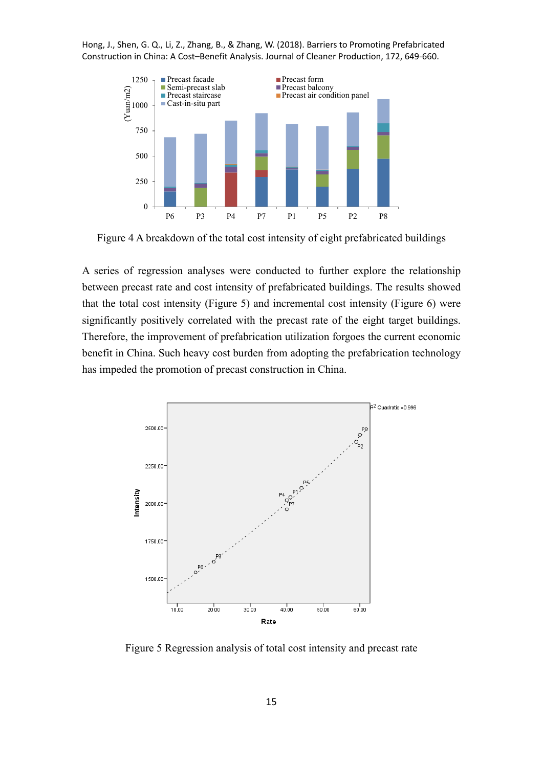

Figure 4 A breakdown of the total cost intensity of eight prefabricated buildings

A series of regression analyses were conducted to further explore the relationship between precast rate and cost intensity of prefabricated buildings. The results showed that the total cost intensity (Figure 5) and incremental cost intensity (Figure 6) were significantly positively correlated with the precast rate of the eight target buildings. Therefore, the improvement of prefabrication utilization forgoes the current economic benefit in China. Such heavy cost burden from adopting the prefabrication technology has impeded the promotion of precast construction in China.



Figure 5 Regression analysis of total cost intensity and precast rate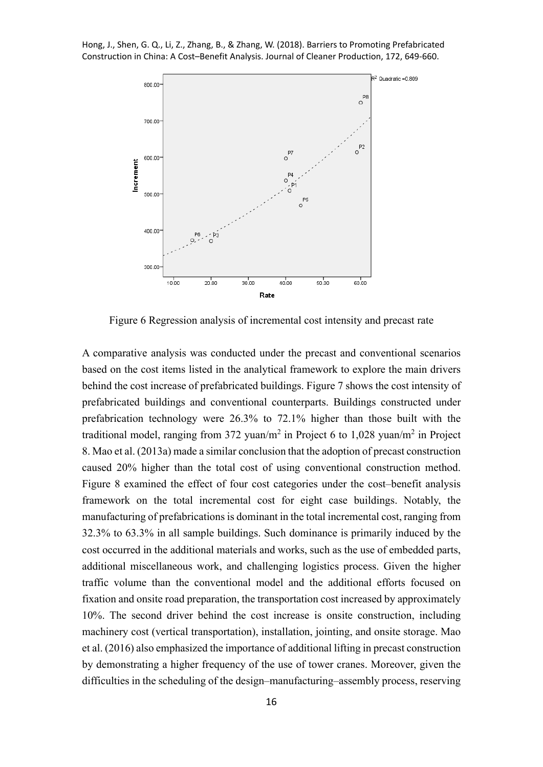

Figure 6 Regression analysis of incremental cost intensity and precast rate

A comparative analysis was conducted under the precast and conventional scenarios based on the cost items listed in the analytical framework to explore the main drivers behind the cost increase of prefabricated buildings. Figure 7 shows the cost intensity of prefabricated buildings and conventional counterparts. Buildings constructed under prefabrication technology were 26.3% to 72.1% higher than those built with the traditional model, ranging from 372 yuan/ $m<sup>2</sup>$  in Project 6 to 1,028 yuan/ $m<sup>2</sup>$  in Project 8. Mao et al. (2013a) made a similar conclusion that the adoption of precast construction caused 20% higher than the total cost of using conventional construction method. Figure 8 examined the effect of four cost categories under the cost–benefit analysis framework on the total incremental cost for eight case buildings. Notably, the manufacturing of prefabrications is dominant in the total incremental cost, ranging from 32.3% to 63.3% in all sample buildings. Such dominance is primarily induced by the cost occurred in the additional materials and works, such as the use of embedded parts, additional miscellaneous work, and challenging logistics process. Given the higher traffic volume than the conventional model and the additional efforts focused on fixation and onsite road preparation, the transportation cost increased by approximately 10%. The second driver behind the cost increase is onsite construction, including machinery cost (vertical transportation), installation, jointing, and onsite storage. Mao et al. (2016) also emphasized the importance of additional lifting in precast construction by demonstrating a higher frequency of the use of tower cranes. Moreover, given the difficulties in the scheduling of the design–manufacturing–assembly process, reserving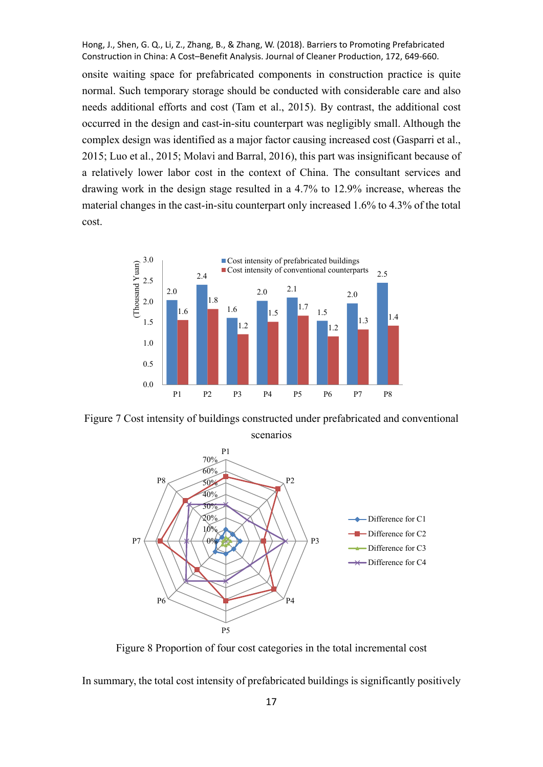onsite waiting space for prefabricated components in construction practice is quite normal. Such temporary storage should be conducted with considerable care and also needs additional efforts and cost (Tam et al., 2015). By contrast, the additional cost occurred in the design and cast-in-situ counterpart was negligibly small. Although the complex design was identified as a major factor causing increased cost (Gasparri et al., 2015; Luo et al., 2015; Molavi and Barral, 2016), this part was insignificant because of a relatively lower labor cost in the context of China. The consultant services and drawing work in the design stage resulted in a 4.7% to 12.9% increase, whereas the material changes in the cast-in-situ counterpart only increased 1.6% to 4.3% of the total cost.



Figure 7 Cost intensity of buildings constructed under prefabricated and conventional scenarios



Figure 8 Proportion of four cost categories in the total incremental cost

In summary, the total cost intensity of prefabricated buildings is significantly positively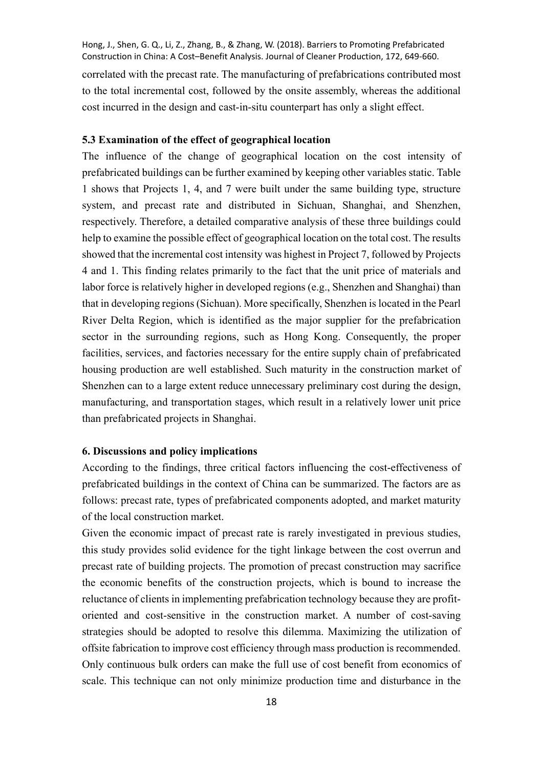correlated with the precast rate. The manufacturing of prefabrications contributed most to the total incremental cost, followed by the onsite assembly, whereas the additional cost incurred in the design and cast-in-situ counterpart has only a slight effect.

### **5.3 Examination of the effect of geographical location**

The influence of the change of geographical location on the cost intensity of prefabricated buildings can be further examined by keeping other variables static. Table 1 shows that Projects 1, 4, and 7 were built under the same building type, structure system, and precast rate and distributed in Sichuan, Shanghai, and Shenzhen, respectively. Therefore, a detailed comparative analysis of these three buildings could help to examine the possible effect of geographical location on the total cost. The results showed that the incremental cost intensity was highest in Project 7, followed by Projects 4 and 1. This finding relates primarily to the fact that the unit price of materials and labor force is relatively higher in developed regions (e.g., Shenzhen and Shanghai) than that in developing regions (Sichuan). More specifically, Shenzhen is located in the Pearl River Delta Region, which is identified as the major supplier for the prefabrication sector in the surrounding regions, such as Hong Kong. Consequently, the proper facilities, services, and factories necessary for the entire supply chain of prefabricated housing production are well established. Such maturity in the construction market of Shenzhen can to a large extent reduce unnecessary preliminary cost during the design, manufacturing, and transportation stages, which result in a relatively lower unit price than prefabricated projects in Shanghai.

## **6. Discussions and policy implications**

According to the findings, three critical factors influencing the cost-effectiveness of prefabricated buildings in the context of China can be summarized. The factors are as follows: precast rate, types of prefabricated components adopted, and market maturity of the local construction market.

Given the economic impact of precast rate is rarely investigated in previous studies, this study provides solid evidence for the tight linkage between the cost overrun and precast rate of building projects. The promotion of precast construction may sacrifice the economic benefits of the construction projects, which is bound to increase the reluctance of clients in implementing prefabrication technology because they are profitoriented and cost-sensitive in the construction market. A number of cost-saving strategies should be adopted to resolve this dilemma. Maximizing the utilization of offsite fabrication to improve cost efficiency through mass production is recommended. Only continuous bulk orders can make the full use of cost benefit from economics of scale. This technique can not only minimize production time and disturbance in the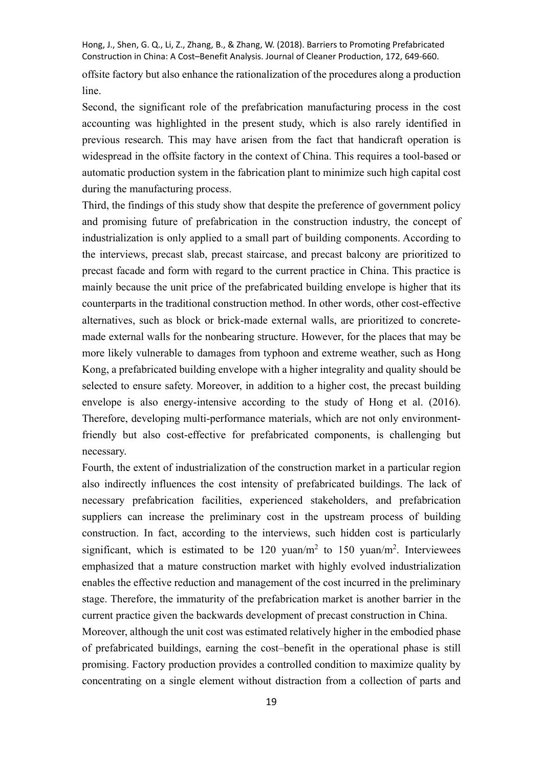offsite factory but also enhance the rationalization of the procedures along a production line.

Second, the significant role of the prefabrication manufacturing process in the cost accounting was highlighted in the present study, which is also rarely identified in previous research. This may have arisen from the fact that handicraft operation is widespread in the offsite factory in the context of China. This requires a tool-based or automatic production system in the fabrication plant to minimize such high capital cost during the manufacturing process.

Third, the findings of this study show that despite the preference of government policy and promising future of prefabrication in the construction industry, the concept of industrialization is only applied to a small part of building components. According to the interviews, precast slab, precast staircase, and precast balcony are prioritized to precast facade and form with regard to the current practice in China. This practice is mainly because the unit price of the prefabricated building envelope is higher that its counterparts in the traditional construction method. In other words, other cost-effective alternatives, such as block or brick-made external walls, are prioritized to concretemade external walls for the nonbearing structure. However, for the places that may be more likely vulnerable to damages from typhoon and extreme weather, such as Hong Kong, a prefabricated building envelope with a higher integrality and quality should be selected to ensure safety. Moreover, in addition to a higher cost, the precast building envelope is also energy-intensive according to the study of Hong et al. (2016). Therefore, developing multi-performance materials, which are not only environmentfriendly but also cost-effective for prefabricated components, is challenging but necessary.

Fourth, the extent of industrialization of the construction market in a particular region also indirectly influences the cost intensity of prefabricated buildings. The lack of necessary prefabrication facilities, experienced stakeholders, and prefabrication suppliers can increase the preliminary cost in the upstream process of building construction. In fact, according to the interviews, such hidden cost is particularly significant, which is estimated to be  $120 \text{ yuan/m}^2$  to  $150 \text{ yuan/m}^2$ . Interviewees emphasized that a mature construction market with highly evolved industrialization enables the effective reduction and management of the cost incurred in the preliminary stage. Therefore, the immaturity of the prefabrication market is another barrier in the current practice given the backwards development of precast construction in China.

Moreover, although the unit cost was estimated relatively higher in the embodied phase of prefabricated buildings, earning the cost–benefit in the operational phase is still promising. Factory production provides a controlled condition to maximize quality by concentrating on a single element without distraction from a collection of parts and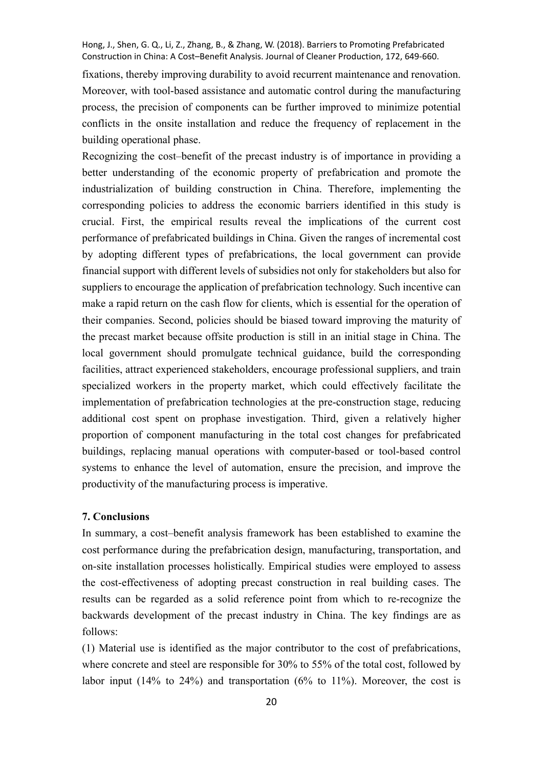fixations, thereby improving durability to avoid recurrent maintenance and renovation. Moreover, with tool-based assistance and automatic control during the manufacturing process, the precision of components can be further improved to minimize potential conflicts in the onsite installation and reduce the frequency of replacement in the building operational phase.

Recognizing the cost–benefit of the precast industry is of importance in providing a better understanding of the economic property of prefabrication and promote the industrialization of building construction in China. Therefore, implementing the corresponding policies to address the economic barriers identified in this study is crucial. First, the empirical results reveal the implications of the current cost performance of prefabricated buildings in China. Given the ranges of incremental cost by adopting different types of prefabrications, the local government can provide financial support with different levels of subsidies not only for stakeholders but also for suppliers to encourage the application of prefabrication technology. Such incentive can make a rapid return on the cash flow for clients, which is essential for the operation of their companies. Second, policies should be biased toward improving the maturity of the precast market because offsite production is still in an initial stage in China. The local government should promulgate technical guidance, build the corresponding facilities, attract experienced stakeholders, encourage professional suppliers, and train specialized workers in the property market, which could effectively facilitate the implementation of prefabrication technologies at the pre-construction stage, reducing additional cost spent on prophase investigation. Third, given a relatively higher proportion of component manufacturing in the total cost changes for prefabricated buildings, replacing manual operations with computer-based or tool-based control systems to enhance the level of automation, ensure the precision, and improve the productivity of the manufacturing process is imperative.

## **7. Conclusions**

In summary, a cost–benefit analysis framework has been established to examine the cost performance during the prefabrication design, manufacturing, transportation, and on-site installation processes holistically. Empirical studies were employed to assess the cost-effectiveness of adopting precast construction in real building cases. The results can be regarded as a solid reference point from which to re-recognize the backwards development of the precast industry in China. The key findings are as follows:

(1) Material use is identified as the major contributor to the cost of prefabrications, where concrete and steel are responsible for 30% to 55% of the total cost, followed by labor input (14% to 24%) and transportation (6% to 11%). Moreover, the cost is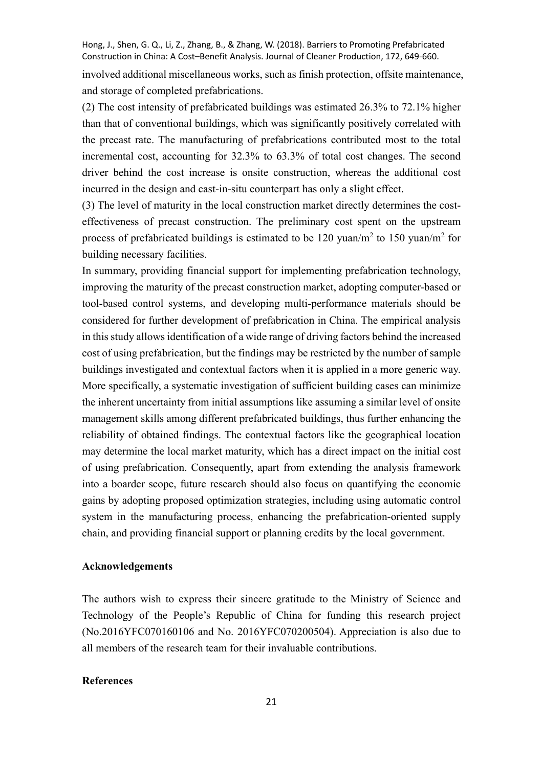involved additional miscellaneous works, such as finish protection, offsite maintenance, and storage of completed prefabrications.

(2) The cost intensity of prefabricated buildings was estimated 26.3% to 72.1% higher than that of conventional buildings, which was significantly positively correlated with the precast rate. The manufacturing of prefabrications contributed most to the total incremental cost, accounting for 32.3% to 63.3% of total cost changes. The second driver behind the cost increase is onsite construction, whereas the additional cost incurred in the design and cast-in-situ counterpart has only a slight effect.

(3) The level of maturity in the local construction market directly determines the costeffectiveness of precast construction. The preliminary cost spent on the upstream process of prefabricated buildings is estimated to be 120 yuan/m<sup>2</sup> to 150 yuan/m<sup>2</sup> for building necessary facilities.

In summary, providing financial support for implementing prefabrication technology, improving the maturity of the precast construction market, adopting computer-based or tool-based control systems, and developing multi-performance materials should be considered for further development of prefabrication in China. The empirical analysis in this study allows identification of a wide range of driving factors behind the increased cost of using prefabrication, but the findings may be restricted by the number of sample buildings investigated and contextual factors when it is applied in a more generic way. More specifically, a systematic investigation of sufficient building cases can minimize the inherent uncertainty from initial assumptions like assuming a similar level of onsite management skills among different prefabricated buildings, thus further enhancing the reliability of obtained findings. The contextual factors like the geographical location may determine the local market maturity, which has a direct impact on the initial cost of using prefabrication. Consequently, apart from extending the analysis framework into a boarder scope, future research should also focus on quantifying the economic gains by adopting proposed optimization strategies, including using automatic control system in the manufacturing process, enhancing the prefabrication-oriented supply chain, and providing financial support or planning credits by the local government.

## **Acknowledgements**

The authors wish to express their sincere gratitude to the Ministry of Science and Technology of the People's Republic of China for funding this research project (No.2016YFC070160106 and No. 2016YFC070200504). Appreciation is also due to all members of the research team for their invaluable contributions.

#### **References**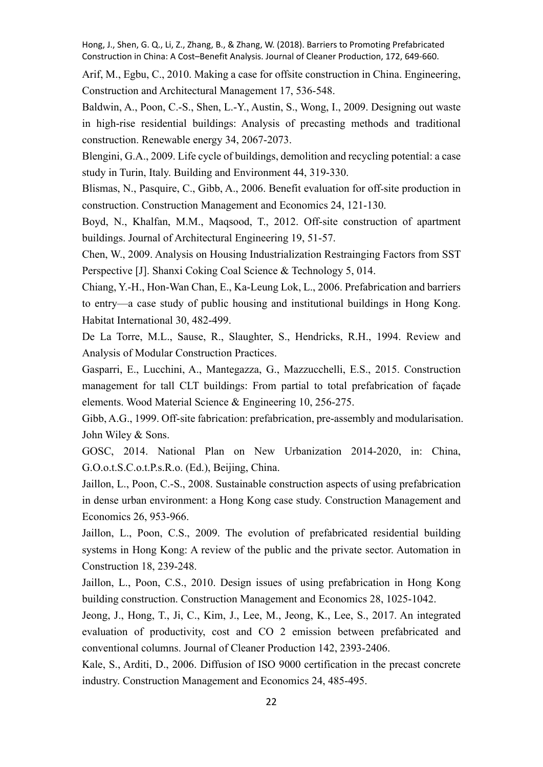Arif, M., Egbu, C., 2010. Making a case for offsite construction in China. Engineering, Construction and Architectural Management 17, 536-548.

Baldwin, A., Poon, C.-S., Shen, L.-Y., Austin, S., Wong, I., 2009. Designing out waste in high-rise residential buildings: Analysis of precasting methods and traditional construction. Renewable energy 34, 2067-2073.

Blengini, G.A., 2009. Life cycle of buildings, demolition and recycling potential: a case study in Turin, Italy. Building and Environment 44, 319-330.

Blismas, N., Pasquire, C., Gibb, A., 2006. Benefit evaluation for off‐site production in construction. Construction Management and Economics 24, 121-130.

Boyd, N., Khalfan, M.M., Maqsood, T., 2012. Off-site construction of apartment buildings. Journal of Architectural Engineering 19, 51-57.

Chen, W., 2009. Analysis on Housing Industrialization Restrainging Factors from SST Perspective [J]. Shanxi Coking Coal Science & Technology 5, 014.

Chiang, Y.-H., Hon-Wan Chan, E., Ka-Leung Lok, L., 2006. Prefabrication and barriers to entry—a case study of public housing and institutional buildings in Hong Kong. Habitat International 30, 482-499.

De La Torre, M.L., Sause, R., Slaughter, S., Hendricks, R.H., 1994. Review and Analysis of Modular Construction Practices.

Gasparri, E., Lucchini, A., Mantegazza, G., Mazzucchelli, E.S., 2015. Construction management for tall CLT buildings: From partial to total prefabrication of façade elements. Wood Material Science & Engineering 10, 256-275.

Gibb, A.G., 1999. Off-site fabrication: prefabrication, pre-assembly and modularisation. John Wiley & Sons.

GOSC, 2014. National Plan on New Urbanization 2014-2020, in: China, G.O.o.t.S.C.o.t.P.s.R.o. (Ed.), Beijing, China.

Jaillon, L., Poon, C.-S., 2008. Sustainable construction aspects of using prefabrication in dense urban environment: a Hong Kong case study. Construction Management and Economics 26, 953-966.

Jaillon, L., Poon, C.S., 2009. The evolution of prefabricated residential building systems in Hong Kong: A review of the public and the private sector. Automation in Construction 18, 239-248.

Jaillon, L., Poon, C.S., 2010. Design issues of using prefabrication in Hong Kong building construction. Construction Management and Economics 28, 1025-1042.

Jeong, J., Hong, T., Ji, C., Kim, J., Lee, M., Jeong, K., Lee, S., 2017. An integrated evaluation of productivity, cost and CO 2 emission between prefabricated and conventional columns. Journal of Cleaner Production 142, 2393-2406.

Kale, S., Arditi, D., 2006. Diffusion of ISO 9000 certification in the precast concrete industry. Construction Management and Economics 24, 485-495.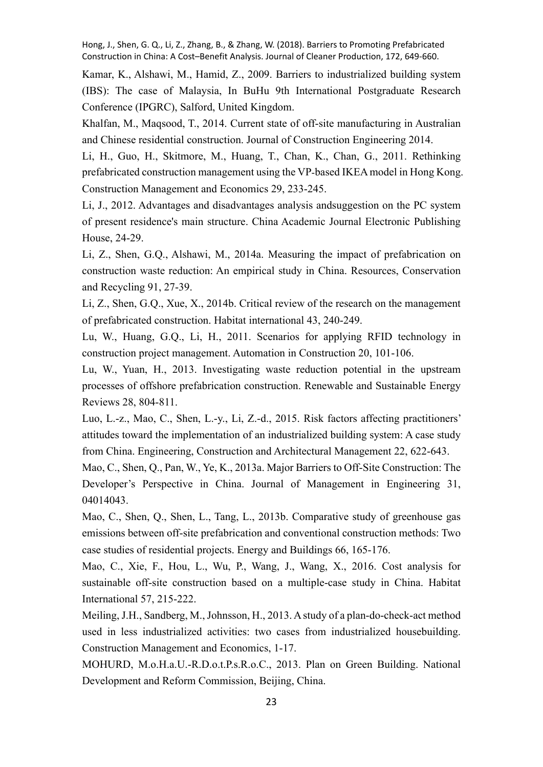Kamar, K., Alshawi, M., Hamid, Z., 2009. Barriers to industrialized building system (IBS): The case of Malaysia, In BuHu 9th International Postgraduate Research Conference (IPGRC), Salford, United Kingdom.

Khalfan, M., Maqsood, T., 2014. Current state of off-site manufacturing in Australian and Chinese residential construction. Journal of Construction Engineering 2014.

Li, H., Guo, H., Skitmore, M., Huang, T., Chan, K., Chan, G., 2011. Rethinking prefabricated construction management using the VP‐based IKEA model in Hong Kong. Construction Management and Economics 29, 233-245.

Li, J., 2012. Advantages and disadvantages analysis andsuggestion on the PC system of present residence's main structure. China Academic Journal Electronic Publishing House, 24-29.

Li, Z., Shen, G.Q., Alshawi, M., 2014a. Measuring the impact of prefabrication on construction waste reduction: An empirical study in China. Resources, Conservation and Recycling 91, 27-39.

Li, Z., Shen, G.Q., Xue, X., 2014b. Critical review of the research on the management of prefabricated construction. Habitat international 43, 240-249.

Lu, W., Huang, G.Q., Li, H., 2011. Scenarios for applying RFID technology in construction project management. Automation in Construction 20, 101-106.

Lu, W., Yuan, H., 2013. Investigating waste reduction potential in the upstream processes of offshore prefabrication construction. Renewable and Sustainable Energy Reviews 28, 804-811.

Luo, L.-z., Mao, C., Shen, L.-y., Li, Z.-d., 2015. Risk factors affecting practitioners' attitudes toward the implementation of an industrialized building system: A case study from China. Engineering, Construction and Architectural Management 22, 622-643.

Mao, C., Shen, Q., Pan, W., Ye, K., 2013a. Major Barriers to Off-Site Construction: The Developer's Perspective in China. Journal of Management in Engineering 31, 04014043.

Mao, C., Shen, Q., Shen, L., Tang, L., 2013b. Comparative study of greenhouse gas emissions between off-site prefabrication and conventional construction methods: Two case studies of residential projects. Energy and Buildings 66, 165-176.

Mao, C., Xie, F., Hou, L., Wu, P., Wang, J., Wang, X., 2016. Cost analysis for sustainable off-site construction based on a multiple-case study in China. Habitat International 57, 215-222.

Meiling, J.H., Sandberg, M., Johnsson, H., 2013. A study of a plan-do-check-act method used in less industrialized activities: two cases from industrialized housebuilding. Construction Management and Economics, 1-17.

MOHURD, M.o.H.a.U.-R.D.o.t.P.s.R.o.C., 2013. Plan on Green Building. National Development and Reform Commission, Beijing, China.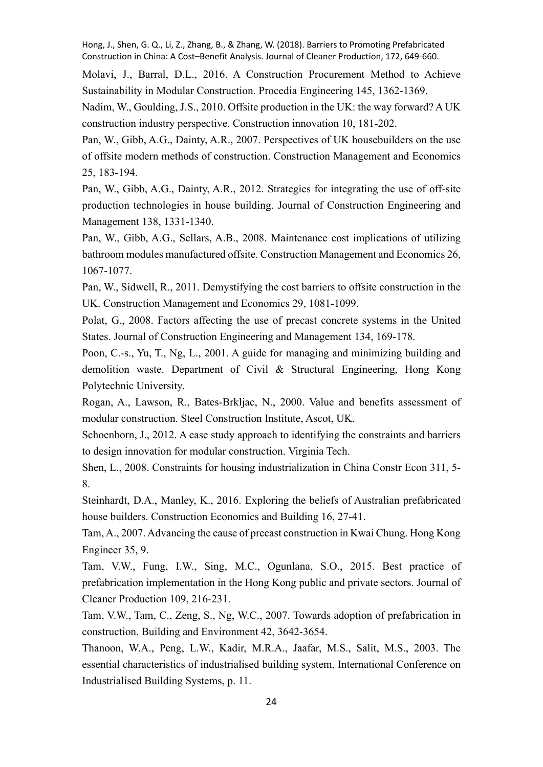Molavi, J., Barral, D.L., 2016. A Construction Procurement Method to Achieve Sustainability in Modular Construction. Procedia Engineering 145, 1362-1369.

Nadim, W., Goulding, J.S., 2010. Offsite production in the UK: the way forward? A UK construction industry perspective. Construction innovation 10, 181-202.

Pan, W., Gibb, A.G., Dainty, A.R., 2007. Perspectives of UK housebuilders on the use of offsite modern methods of construction. Construction Management and Economics 25, 183-194.

Pan, W., Gibb, A.G., Dainty, A.R., 2012. Strategies for integrating the use of off-site production technologies in house building. Journal of Construction Engineering and Management 138, 1331-1340.

Pan, W., Gibb, A.G., Sellars, A.B., 2008. Maintenance cost implications of utilizing bathroom modules manufactured offsite. Construction Management and Economics 26, 1067-1077.

Pan, W., Sidwell, R., 2011. Demystifying the cost barriers to offsite construction in the UK. Construction Management and Economics 29, 1081-1099.

Polat, G., 2008. Factors affecting the use of precast concrete systems in the United States. Journal of Construction Engineering and Management 134, 169-178.

Poon, C.-s., Yu, T., Ng, L., 2001. A guide for managing and minimizing building and demolition waste. Department of Civil & Structural Engineering, Hong Kong Polytechnic University.

Rogan, A., Lawson, R., Bates-Brkljac, N., 2000. Value and benefits assessment of modular construction. Steel Construction Institute, Ascot, UK.

Schoenborn, J., 2012. A case study approach to identifying the constraints and barriers to design innovation for modular construction. Virginia Tech.

Shen, L., 2008. Constraints for housing industrialization in China Constr Econ 311, 5- 8.

Steinhardt, D.A., Manley, K., 2016. Exploring the beliefs of Australian prefabricated house builders. Construction Economics and Building 16, 27-41.

Tam, A., 2007. Advancing the cause of precast construction in Kwai Chung. Hong Kong Engineer 35, 9.

Tam, V.W., Fung, I.W., Sing, M.C., Ogunlana, S.O., 2015. Best practice of prefabrication implementation in the Hong Kong public and private sectors. Journal of Cleaner Production 109, 216-231.

Tam, V.W., Tam, C., Zeng, S., Ng, W.C., 2007. Towards adoption of prefabrication in construction. Building and Environment 42, 3642-3654.

Thanoon, W.A., Peng, L.W., Kadir, M.R.A., Jaafar, M.S., Salit, M.S., 2003. The essential characteristics of industrialised building system, International Conference on Industrialised Building Systems, p. 11.